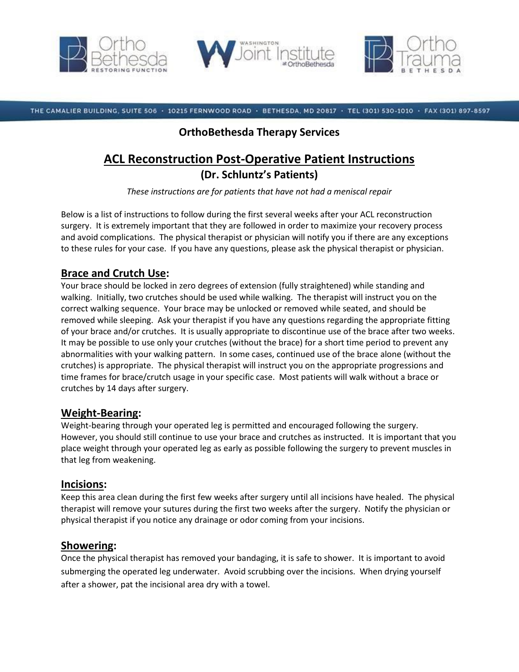





THE CAMALIER BUILDING, SUITE 506 · 10215 FERNWOOD ROAD · BETHESDA, MD 20817 · TEL (301) 530-1010 · FAX (301) 897-8597

## **OrthoBethesda Therapy Services**

# **ACL Reconstruction Post-Operative Patient Instructions (Dr. Schluntz's Patients)**

*These instructions are for patients that have not had a meniscal repair*

Below is a list of instructions to follow during the first several weeks after your ACL reconstruction surgery. It is extremely important that they are followed in order to maximize your recovery process and avoid complications. The physical therapist or physician will notify you if there are any exceptions to these rules for your case. If you have any questions, please ask the physical therapist or physician.

## **Brace and Crutch Use:**

Your brace should be locked in zero degrees of extension (fully straightened) while standing and walking. Initially, two crutches should be used while walking. The therapist will instruct you on the correct walking sequence. Your brace may be unlocked or removed while seated, and should be removed while sleeping. Ask your therapist if you have any questions regarding the appropriate fitting of your brace and/or crutches. It is usually appropriate to discontinue use of the brace after two weeks. It may be possible to use only your crutches (without the brace) for a short time period to prevent any abnormalities with your walking pattern. In some cases, continued use of the brace alone (without the crutches) is appropriate. The physical therapist will instruct you on the appropriate progressions and time frames for brace/crutch usage in your specific case. Most patients will walk without a brace or crutches by 14 days after surgery.

#### **Weight-Bearing:**

Weight-bearing through your operated leg is permitted and encouraged following the surgery. However, you should still continue to use your brace and crutches as instructed. It is important that you place weight through your operated leg as early as possible following the surgery to prevent muscles in that leg from weakening.

#### **Incisions:**

Keep this area clean during the first few weeks after surgery until all incisions have healed. The physical therapist will remove your sutures during the first two weeks after the surgery. Notify the physician or physical therapist if you notice any drainage or odor coming from your incisions.

#### **Showering:**

Once the physical therapist has removed your bandaging, it is safe to shower. It is important to avoid submerging the operated leg underwater. Avoid scrubbing over the incisions. When drying yourself after a shower, pat the incisional area dry with a towel.